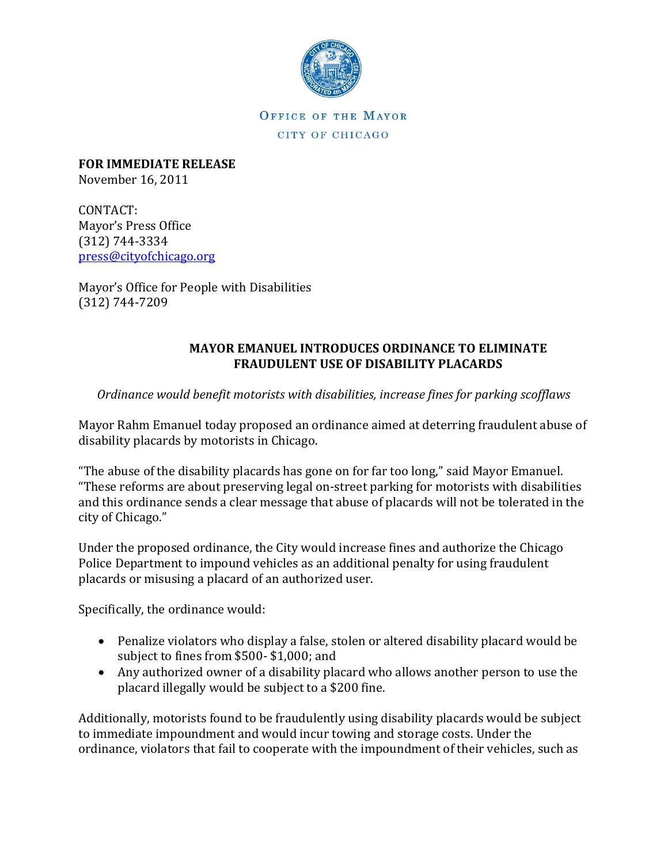

OFFICE OF THE MAYOR CITY OF CHICAGO

**FOR IMMEDIATE RELEASE**  November 16, 2011

CONTACT: Mayor's Press Office (312) 744-3334 [press@cityofchicago.org](mailto:press@cityofchicago.org)

Mayor's Office for People with Disabilities (312) 744-7209

## **MAYOR EMANUEL INTRODUCES ORDINANCE TO ELIMINATE FRAUDULENT USE OF DISABILITY PLACARDS**

## *Ordinance would benefit motorists with disabilities, increase fines for parking scofflaws*

Mayor Rahm Emanuel today proposed an ordinance aimed at deterring fraudulent abuse of disability placards by motorists in Chicago.

"The abuse of the disability placards has gone on for far too long," said Mayor Emanuel. "These reforms are about preserving legal on-street parking for motorists with disabilities and this ordinance sends a clear message that abuse of placards will not be tolerated in the city of Chicago."

Under the proposed ordinance, the City would increase fines and authorize the Chicago Police Department to impound vehicles as an additional penalty for using fraudulent placards or misusing a placard of an authorized user.

Specifically, the ordinance would:

- Penalize violators who display a false, stolen or altered disability placard would be subject to fines from \$500- \$1,000; and
- Any authorized owner of a disability placard who allows another person to use the placard illegally would be subject to a \$200 fine.

Additionally, motorists found to be fraudulently using disability placards would be subject to immediate impoundment and would incur towing and storage costs. Under the ordinance, violators that fail to cooperate with the impoundment of their vehicles, such as